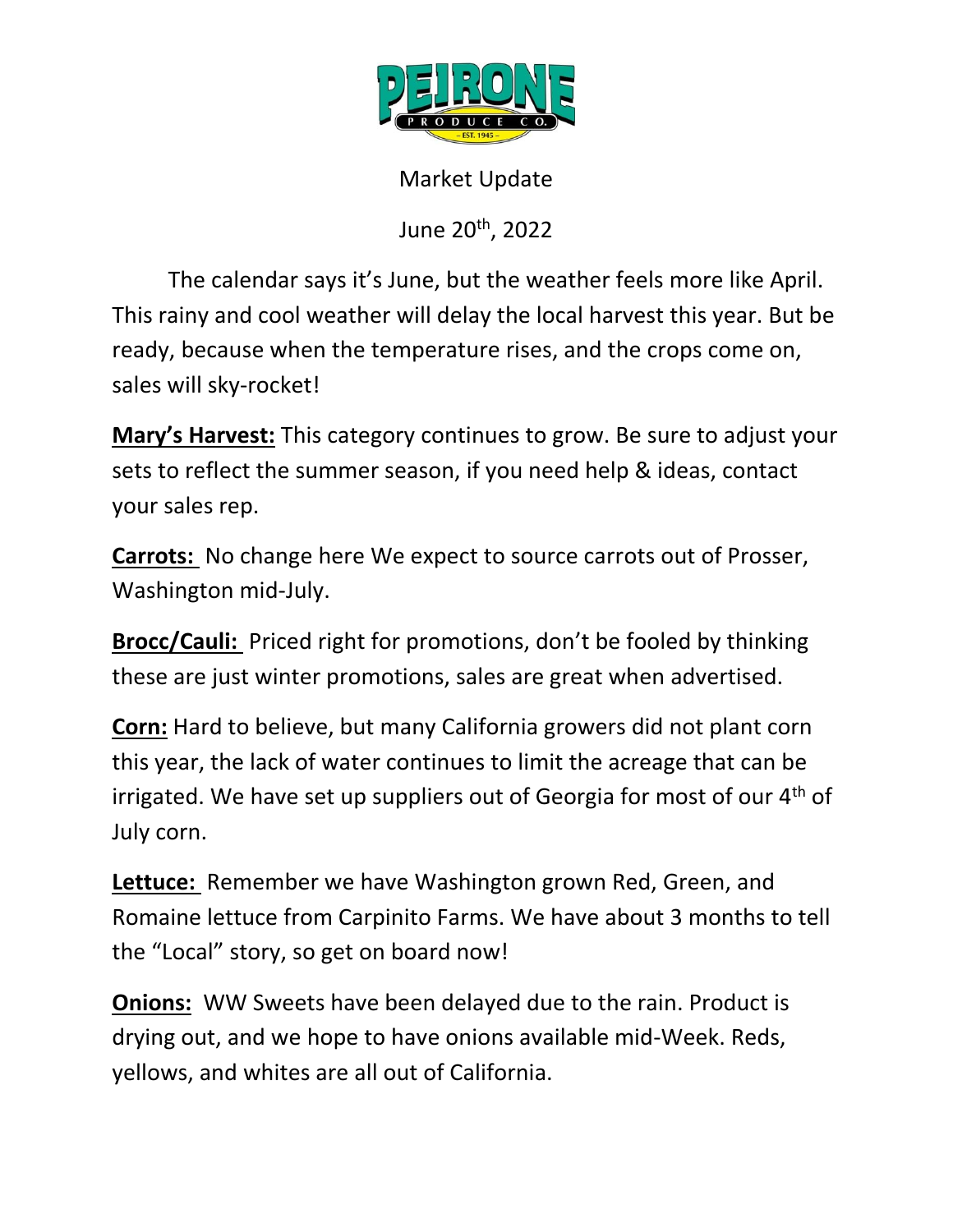

Market Update

June 20th, 2022

The calendar says it's June, but the weather feels more like April. This rainy and cool weather will delay the local harvest this year. But be ready, because when the temperature rises, and the crops come on, sales will sky-rocket!

**Mary's Harvest:** This category continues to grow. Be sure to adjust your sets to reflect the summer season, if you need help & ideas, contact your sales rep.

**Carrots:** No change here We expect to source carrots out of Prosser, Washington mid-July.

**Brocc/Cauli:** Priced right for promotions, don't be fooled by thinking these are just winter promotions, sales are great when advertised.

**Corn:** Hard to believe, but many California growers did not plant corn this year, the lack of water continues to limit the acreage that can be irrigated. We have set up suppliers out of Georgia for most of our 4<sup>th</sup> of July corn.

**Lettuce:** Remember we have Washington grown Red, Green, and Romaine lettuce from Carpinito Farms. We have about 3 months to tell the "Local" story, so get on board now!

**Onions:** WW Sweets have been delayed due to the rain. Product is drying out, and we hope to have onions available mid-Week. Reds, yellows, and whites are all out of California.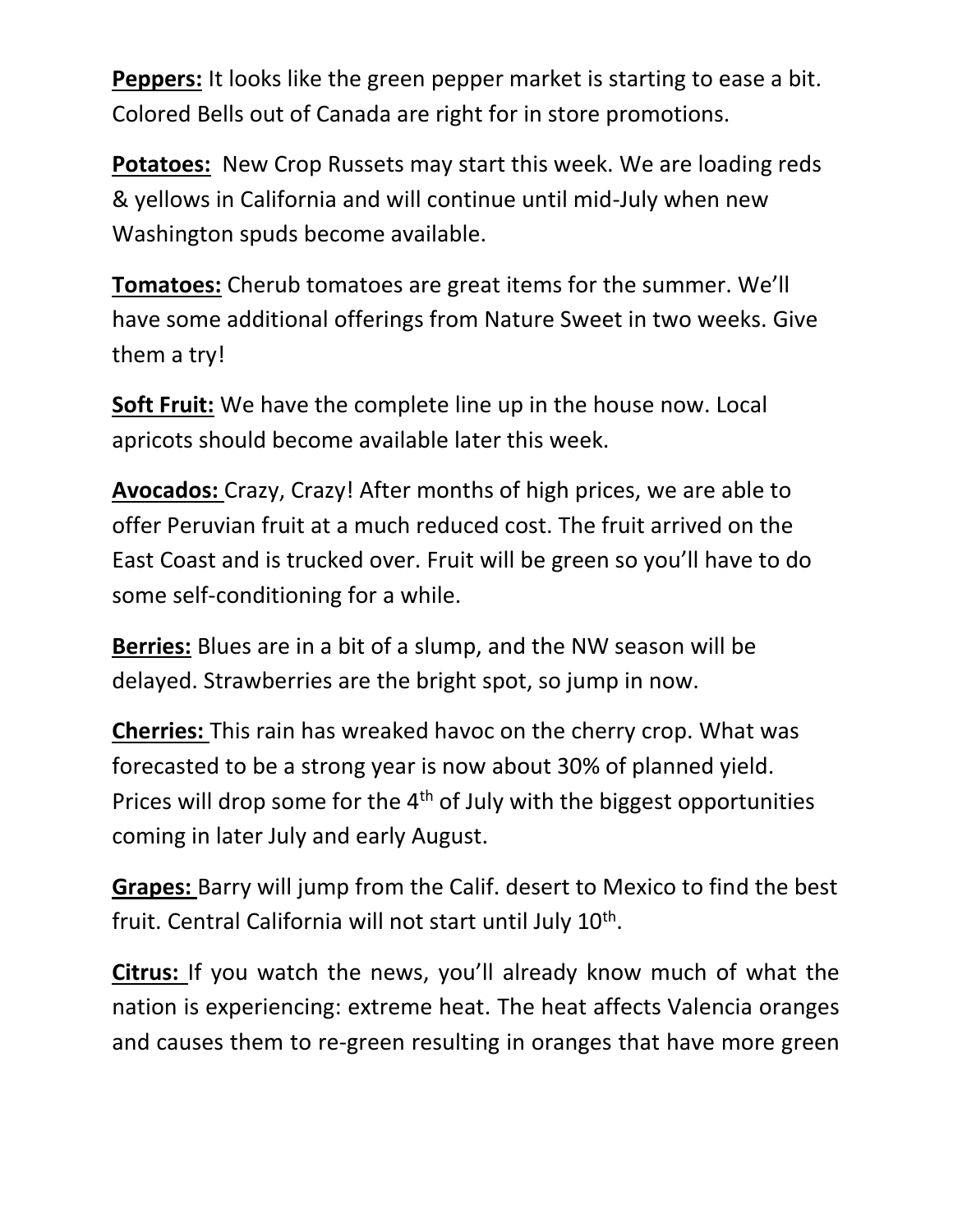**Peppers:** It looks like the green pepper market is starting to ease a bit. Colored Bells out of Canada are right for in store promotions.

**Potatoes:** New Crop Russets may start this week. We are loading reds & yellows in California and will continue until mid-July when new Washington spuds become available.

**Tomatoes:** Cherub tomatoes are great items for the summer. We'll have some additional offerings from Nature Sweet in two weeks. Give them a try!

**Soft Fruit:** We have the complete line up in the house now. Local apricots should become available later this week.

**Avocados:** Crazy, Crazy! After months of high prices, we are able to offer Peruvian fruit at a much reduced cost. The fruit arrived on the East Coast and is trucked over. Fruit will be green so you'll have to do some self-conditioning for a while.

**Berries:** Blues are in a bit of a slump, and the NW season will be delayed. Strawberries are the bright spot, so jump in now.

**Cherries:** This rain has wreaked havoc on the cherry crop. What was forecasted to be a strong year is now about 30% of planned yield. Prices will drop some for the 4<sup>th</sup> of July with the biggest opportunities coming in later July and early August.

**Grapes:** Barry will jump from the Calif. desert to Mexico to find the best fruit. Central California will not start until July 10<sup>th</sup>.

**Citrus:** If you watch the news, you'll already know much of what the nation is experiencing: extreme heat. The heat affects Valencia oranges and causes them to re-green resulting in oranges that have more green